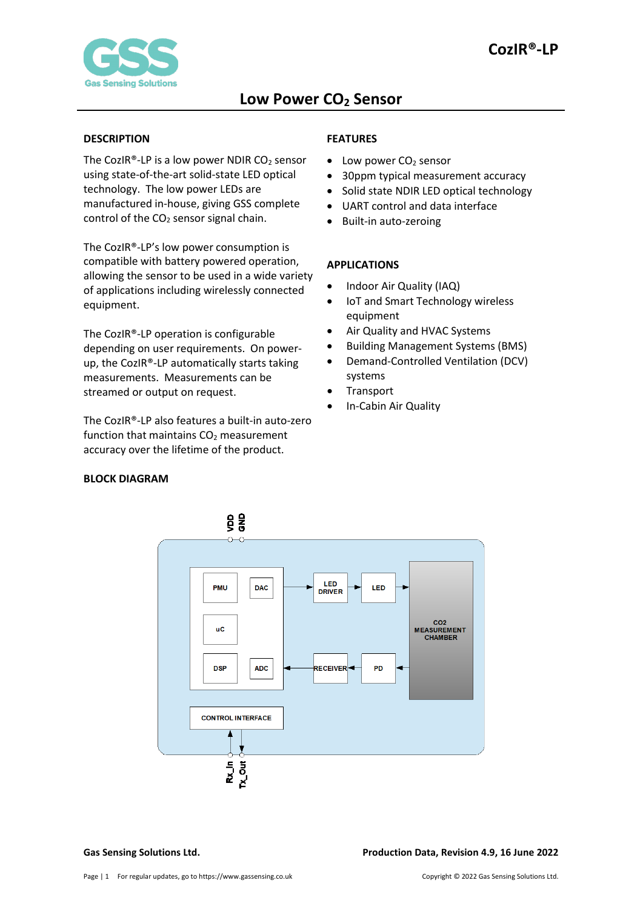#### <span id="page-0-0"></span>**DESCRIPTION**

<span id="page-0-1"></span>**BLOCK DIAGRAM**

The CozIR®-LP is a low power NDIR  $CO<sub>2</sub>$  sensor using state-of-the-art solid-state LED optical technology. The low power LEDs are manufactured in-house, giving GSS complete control of the  $CO<sub>2</sub>$  sensor signal chain.

The CozIR®-LP's low power consumption is compatible with battery powered operation, allowing the sensor to be used in a wide variety of applications including wirelessly connected equipment.

The CozIR®-LP operation is configurable depending on user requirements. On powerup, the CozIR®-LP automatically starts taking measurements. Measurements can be streamed or output on request.

The CozIR®-LP also features a built-in auto-zero function that maintains  $CO<sub>2</sub>$  measurement accuracy over the lifetime of the product.

## <span id="page-0-2"></span>**FEATURES**

- $\bullet$  Low power CO<sub>2</sub> sensor
- 30ppm typical measurement accuracy
- Solid state NDIR LED optical technology
- UART control and data interface
- Built-in auto-zeroing

### <span id="page-0-3"></span>**APPLICATIONS**

- Indoor Air Quality (IAQ)
- IoT and Smart Technology wireless equipment
- Air Quality and HVAC Systems
- Building Management Systems (BMS)
- Demand-Controlled Ventilation (DCV) systems
- **Transport**
- In-Cabin Air Quality

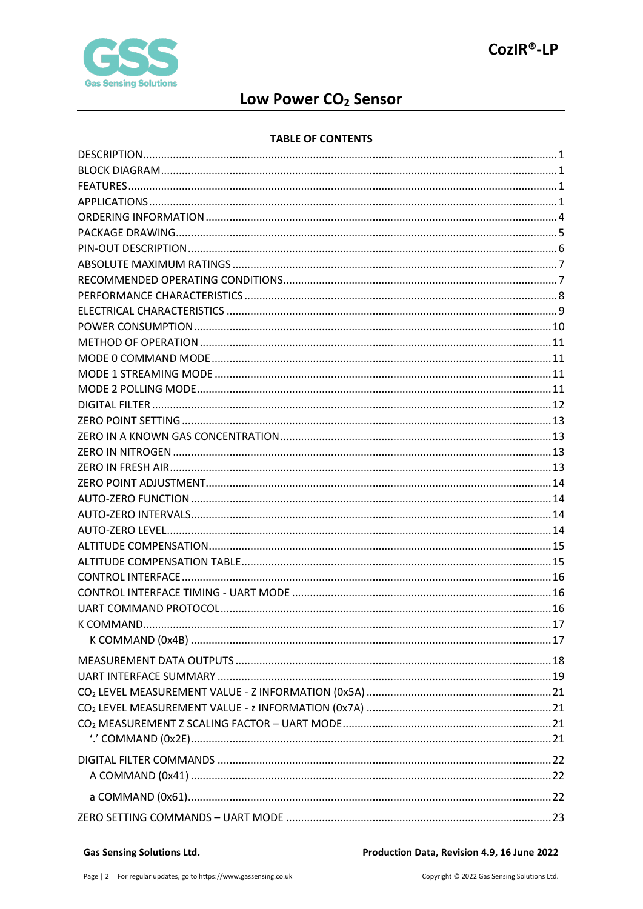

# Low Power CO<sub>2</sub> Sensor

#### **TABLE OF CONTENTS**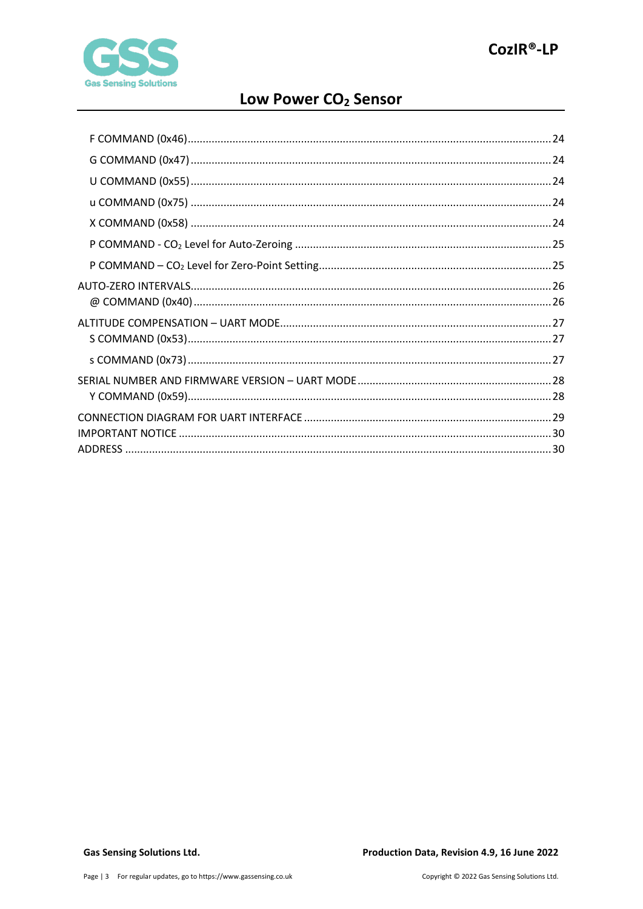

# Low Power CO<sub>2</sub> Sensor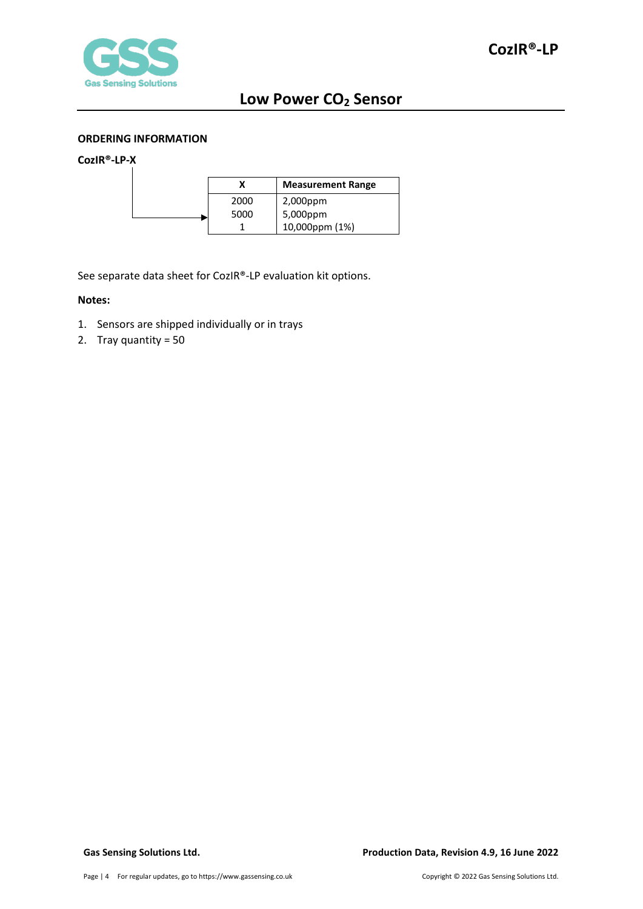

#### <span id="page-3-0"></span>**ORDERING INFORMATION**

### **CozIR®-LP-X**

|      | <b>Measurement Range</b> |
|------|--------------------------|
| 2000 | 2,000ppm                 |
| 5000 | 5,000ppm                 |
|      | 10,000ppm (1%)           |

See separate data sheet for CozIR®-LP evaluation kit options.

#### **Notes:**

- 1. Sensors are shipped individually or in trays
- 2. Tray quantity = 50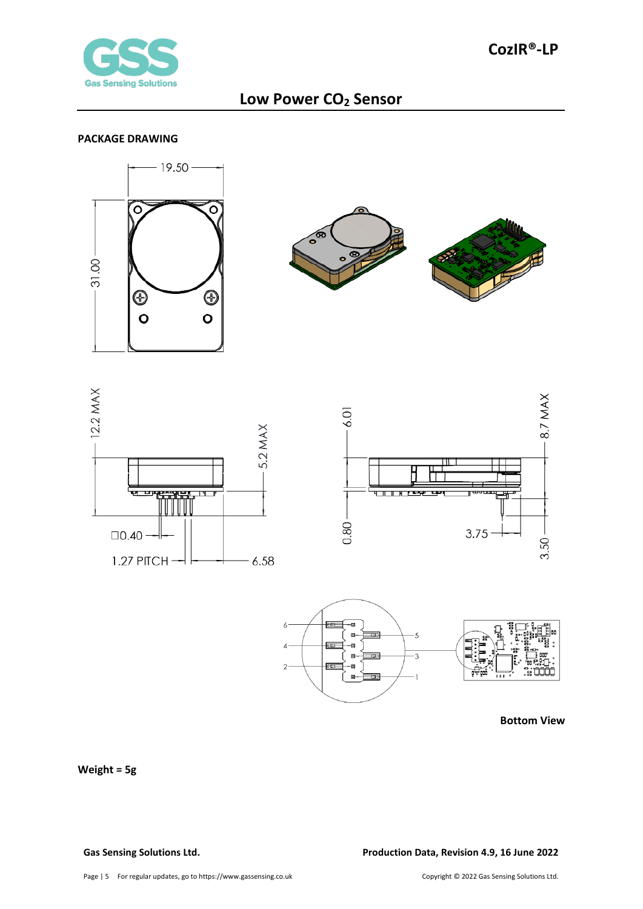

#### <span id="page-4-0"></span>**PACKAGE DRAWING**













**Bottom View**

## **Weight = 5g**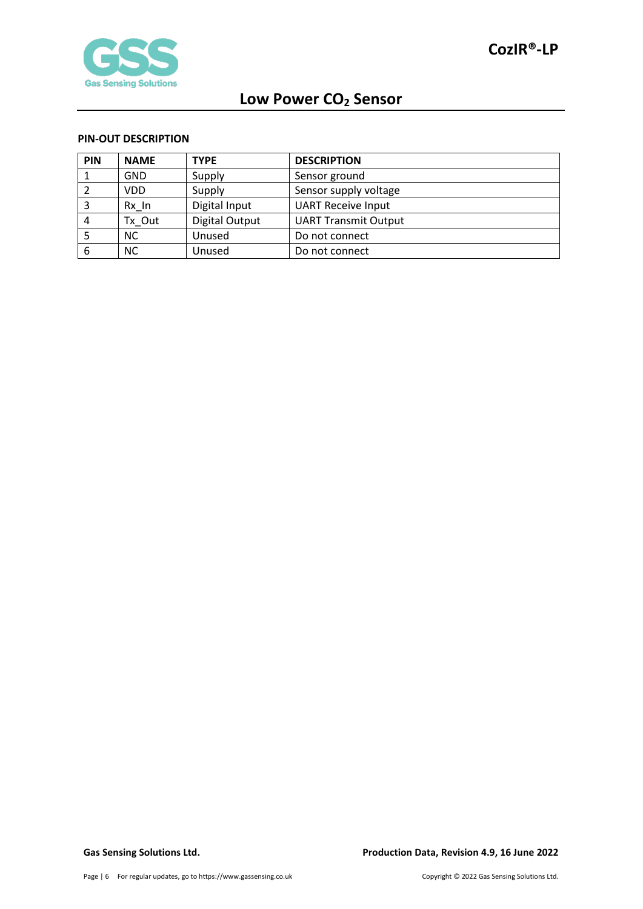

#### <span id="page-5-0"></span>**PIN-OUT DESCRIPTION**

| PIN | <b>NAME</b> | <b>TYPE</b>    | <b>DESCRIPTION</b>          |
|-----|-------------|----------------|-----------------------------|
|     | <b>GND</b>  | Supply         | Sensor ground               |
|     | <b>VDD</b>  | Supply         | Sensor supply voltage       |
|     | Rx In       | Digital Input  | <b>UART Receive Input</b>   |
| 4   | Tx Out      | Digital Output | <b>UART Transmit Output</b> |
|     | <b>NC</b>   | Unused         | Do not connect              |
| 6   | <b>NC</b>   | Unused         | Do not connect              |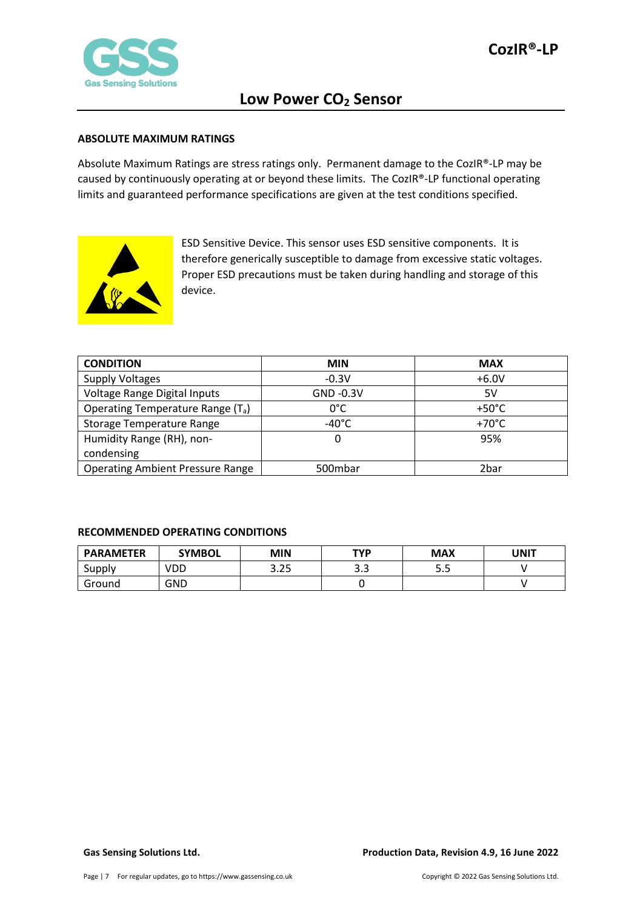

#### <span id="page-6-0"></span>**ABSOLUTE MAXIMUM RATINGS**

Absolute Maximum Ratings are stress ratings only. Permanent damage to the CozIR®-LP may be caused by continuously operating at or beyond these limits. The CozIR®-LP functional operating limits and guaranteed performance specifications are given at the test conditions specified.



ESD Sensitive Device. This sensor uses ESD sensitive components. It is therefore generically susceptible to damage from excessive static voltages. Proper ESD precautions must be taken during handling and storage of this device.

| <b>CONDITION</b>                              | <b>MIN</b>      | <b>MAX</b>      |
|-----------------------------------------------|-----------------|-----------------|
| <b>Supply Voltages</b>                        | $-0.3V$         | $+6.0V$         |
| Voltage Range Digital Inputs                  | GND -0.3V       | 5V              |
| Operating Temperature Range (T <sub>a</sub> ) | $0^{\circ}$ C   | $+50^{\circ}$ C |
| <b>Storage Temperature Range</b>              | $-40^{\circ}$ C | $+70^{\circ}$ C |
| Humidity Range (RH), non-                     | 0               | 95%             |
| condensing                                    |                 |                 |
| <b>Operating Ambient Pressure Range</b>       | 500mbar         | 2bar            |

#### <span id="page-6-1"></span>**RECOMMENDED OPERATING CONDITIONS**

| <b>PARAMETER</b> | <b>SYMBOL</b> | MIN  | TYP | <b>MAX</b> | UNIT |
|------------------|---------------|------|-----|------------|------|
| Supply           | VDD           | 3.25 | ر.ر | ب          |      |
| Ground           | GND           |      |     |            |      |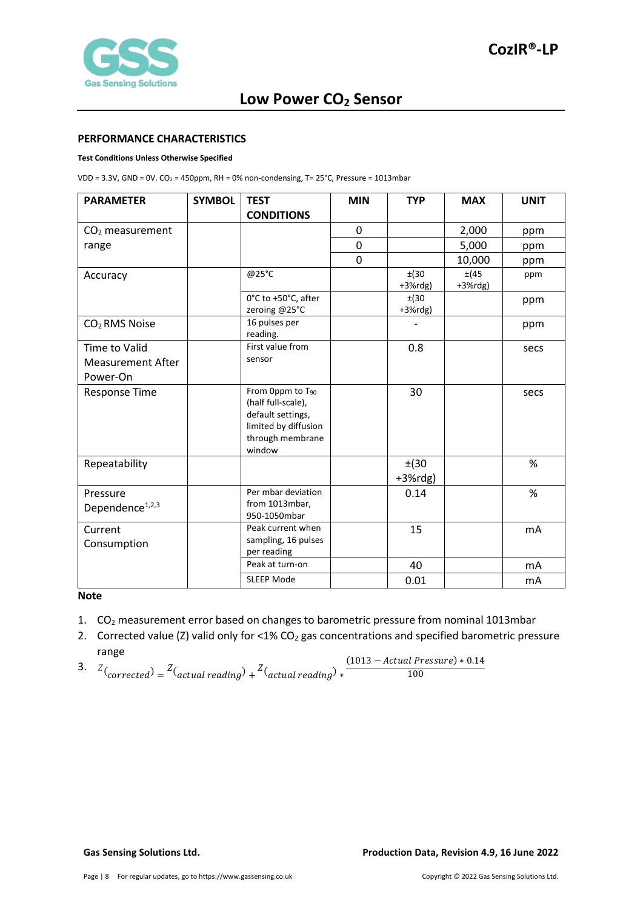

#### <span id="page-7-0"></span>**PERFORMANCE CHARACTERISTICS**

#### **Test Conditions Unless Otherwise Specified**

VDD =  $3.3V$ , GND =  $0V$ . CO<sub>2</sub> = 450ppm, RH = 0% non-condensing, T=  $25^{\circ}$ C, Pressure = 1013mbar

| <b>PARAMETER</b>                        | <b>SYMBOL</b> | <b>TEST</b>                                                                                                                   | <b>MIN</b>  | <b>TYP</b>          | <b>MAX</b>          | <b>UNIT</b> |
|-----------------------------------------|---------------|-------------------------------------------------------------------------------------------------------------------------------|-------------|---------------------|---------------------|-------------|
|                                         |               | <b>CONDITIONS</b>                                                                                                             |             |                     |                     |             |
| $CO2$ measurement                       |               |                                                                                                                               | 0           |                     | 2,000               | ppm         |
| range                                   |               |                                                                                                                               | $\mathbf 0$ |                     | 5,000               | ppm         |
|                                         |               |                                                                                                                               | $\mathbf 0$ |                     | 10,000              | ppm         |
| Accuracy                                |               | @25°C                                                                                                                         |             | ±(30)<br>$+3%$ rdg) | ±(45)<br>$+3%$ rdg) | ppm         |
|                                         |               | 0°C to +50°C, after<br>zeroing @25°C                                                                                          |             | ±(30)<br>$+3%$ rdg) |                     | ppm         |
| CO <sub>2</sub> RMS Noise               |               | 16 pulses per<br>reading.                                                                                                     |             |                     |                     | ppm         |
| Time to Valid                           |               | First value from                                                                                                              |             | 0.8                 |                     | secs        |
| <b>Measurement After</b>                |               | sensor                                                                                                                        |             |                     |                     |             |
| Power-On                                |               |                                                                                                                               |             |                     |                     |             |
| <b>Response Time</b>                    |               | From Oppm to T <sub>90</sub><br>(half full-scale),<br>default settings,<br>limited by diffusion<br>through membrane<br>window |             | 30                  |                     | secs        |
| Repeatability                           |               |                                                                                                                               |             | ±(30)<br>$+3%$ rdg) |                     | %           |
| Pressure<br>Dependence <sup>1,2,3</sup> |               | Per mbar deviation<br>from 1013mbar,<br>950-1050mbar                                                                          |             | 0.14                |                     | %           |
| Current                                 |               | Peak current when                                                                                                             |             | 15                  |                     | mA          |
| Consumption                             |               | sampling, 16 pulses<br>per reading                                                                                            |             |                     |                     |             |
|                                         |               | Peak at turn-on                                                                                                               |             | 40                  |                     | mA          |
|                                         |               | <b>SLEEP Mode</b>                                                                                                             |             | 0.01                |                     | mA          |

#### **Note**

- 1. CO<sub>2</sub> measurement error based on changes to barometric pressure from nominal 1013mbar
- 2. Corrected value (Z) valid only for <1% CO<sub>2</sub> gas concentrations and specified barometric pressure range

3. 
$$
Z_{\text{(corrected)}} = Z_{\text{(actual reading)}} + Z_{\text{(actual reading)}} + \frac{Z_{\text{(actual reading)}} + \frac{1013 - \text{Actual Pressure}}}{100} + \frac{1013 - \text{Actual pressure}}{100} + \frac{1013 - \text{Actual pressure}}{100} + \frac{1013 - \text{Actual pressure}}{100} + \frac{1013 - \text{Actual pressure}}{100} + \frac{1013 - \text{Actual pressure}}{100} + \frac{1013 - \text{Actual pressure}}{100} + \frac{1013 - \text{Actual pressure}}{100} + \frac{1013 - \text{Actual pressure}}{100} + \frac{1013 - \text{Actual pressure}}{100} + \frac{1013 - \text{Actual pressure}}{100} + \frac{1013 - \text{Actual pressure}}{100} + \frac{1013 - \text{Actual pressure}}{100} + \frac{1013 - \text{Actual pressure}}{100} + \frac{1013 - \text{Actual pressure}}{100} + \frac{1013 - \text{Actual pressure}}{100} + \frac{1013 - \text{Actual pressure}}{100} + \frac{1013 - \text{Actual pressure}}{100} + \frac{1013 - \text{Actual pressure}}{100} + \frac{1013 - \text{Actual pressure}}{100} + \frac{1013 - \text{Actual pressure}}{100} + \frac{1013 - \text{Actual pressure}}{100} + \frac{1013 - \text{Actual pressure}}{100} + \frac{1013 - \text{Actual pressure}}{100} + \frac{1013 - \text{Actual pressure}}{100} + \frac{1013 - \text{Actual pressure}}{100} + \frac{1013 - \text{Actual pressure}}{100} + \frac{1013 - \text{Actual pressure}}{100} + \frac{1013 - \text{Actual pressure}}{100} + \frac{1013 - \text{Standard pressure}}{100} + \frac{1013 - \text{Standard pressure}}{100} + \frac{1013 - \text{Standard pressure}}{100} + \frac{1013 - \text{Standard pressure}}{100} + \frac{1013 - \text{Standard pressure}}{100} + \frac{1013 - \text{Standard pressure}}{100} + \frac{1013 - \text{Standard pressure}}{100} + \frac
$$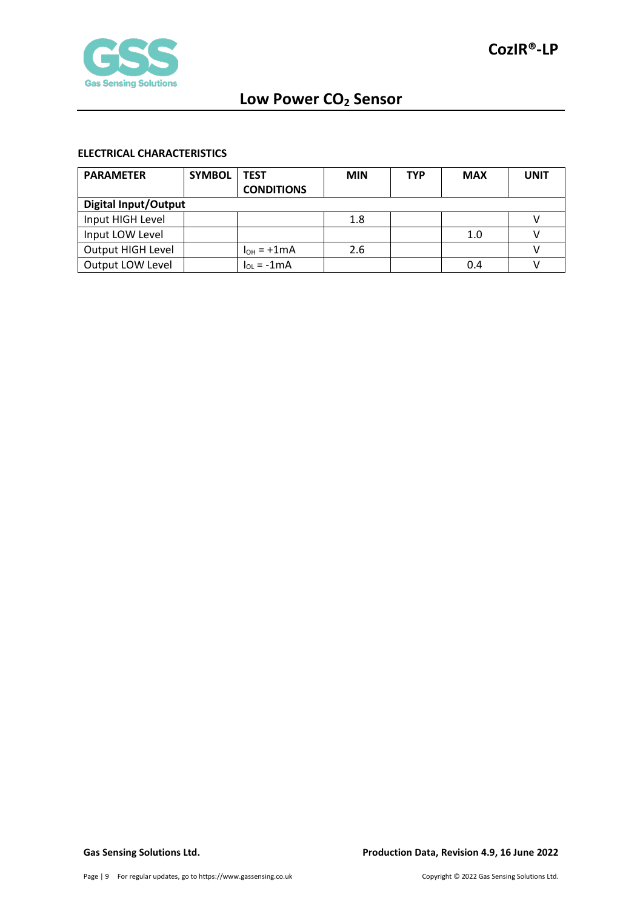

## <span id="page-8-0"></span>**ELECTRICAL CHARACTERISTICS**

| <b>PARAMETER</b>            | <b>SYMBOL</b> | <b>TEST</b>       | <b>MIN</b> | TYP | <b>MAX</b> | UNIT |
|-----------------------------|---------------|-------------------|------------|-----|------------|------|
|                             |               | <b>CONDITIONS</b> |            |     |            |      |
| <b>Digital Input/Output</b> |               |                   |            |     |            |      |
| Input HIGH Level            |               |                   | 1.8        |     |            |      |
| Input LOW Level             |               |                   |            |     | 1.0        |      |
| Output HIGH Level           |               | $I_{OH} = +1mA$   | 2.6        |     |            |      |
| Output LOW Level            |               | $\ln = -1$ mA     |            |     | 0.4        |      |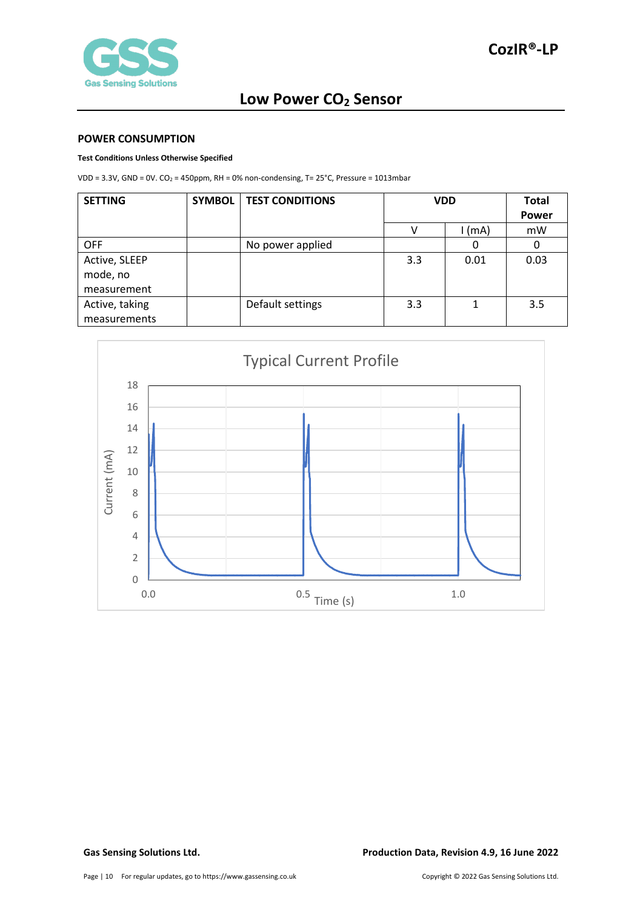

#### <span id="page-9-0"></span>**POWER CONSUMPTION**

#### **Test Conditions Unless Otherwise Specified**

VDD =  $3.3V$ , GND =  $0V$ . CO<sub>2</sub> =  $450$ ppm, RH =  $0\%$  non-condensing, T=  $25^{\circ}$ C, Pressure =  $1013$ mbar

| <b>SETTING</b> | <b>SYMBOL</b> | <b>TEST CONDITIONS</b> | <b>VDD</b> |          | <b>Total</b> |
|----------------|---------------|------------------------|------------|----------|--------------|
|                |               |                        |            |          | <b>Power</b> |
|                |               |                        |            | $1$ (mA) | mW           |
| <b>OFF</b>     |               | No power applied       |            | O        | 0            |
| Active, SLEEP  |               |                        | 3.3        | 0.01     | 0.03         |
| mode, no       |               |                        |            |          |              |
| measurement    |               |                        |            |          |              |
| Active, taking |               | Default settings       | 3.3        |          | 3.5          |
| measurements   |               |                        |            |          |              |

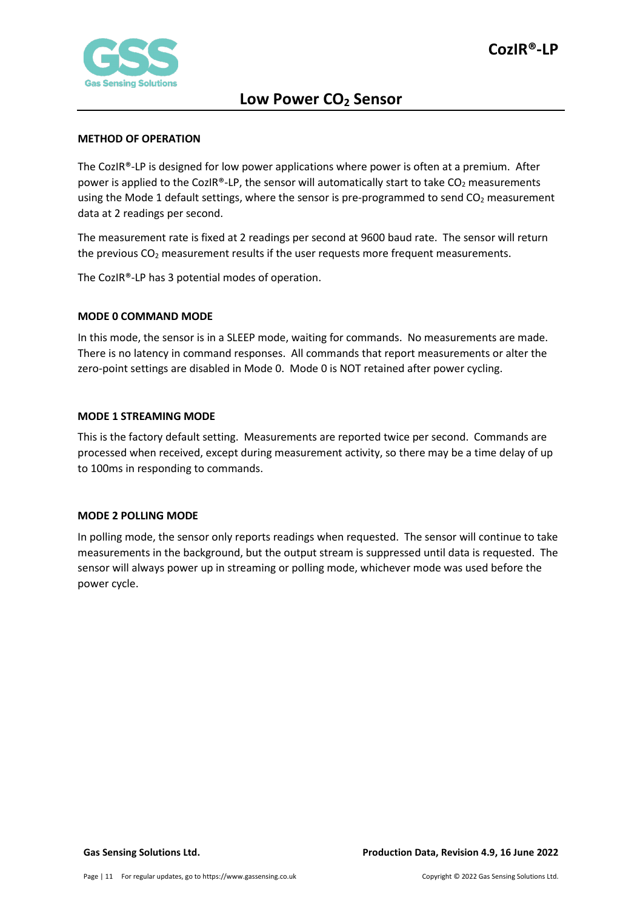

#### <span id="page-10-0"></span>**METHOD OF OPERATION**

The CozIR®-LP is designed for low power applications where power is often at a premium. After power is applied to the CozIR®-LP, the sensor will automatically start to take  $CO<sub>2</sub>$  measurements using the Mode 1 default settings, where the sensor is pre-programmed to send  $CO<sub>2</sub>$  measurement data at 2 readings per second.

The measurement rate is fixed at 2 readings per second at 9600 baud rate. The sensor will return the previous CO2 measurement results if the user requests more frequent measurements.

The CozIR®-LP has 3 potential modes of operation.

### <span id="page-10-1"></span>**MODE 0 COMMAND MODE**

In this mode, the sensor is in a SLEEP mode, waiting for commands. No measurements are made. There is no latency in command responses. All commands that report measurements or alter the zero-point settings are disabled in Mode 0. Mode 0 is NOT retained after power cycling.

### <span id="page-10-2"></span>**MODE 1 STREAMING MODE**

This is the factory default setting. Measurements are reported twice per second. Commands are processed when received, except during measurement activity, so there may be a time delay of up to 100ms in responding to commands.

#### <span id="page-10-3"></span>**MODE 2 POLLING MODE**

In polling mode, the sensor only reports readings when requested. The sensor will continue to take measurements in the background, but the output stream is suppressed until data is requested. The sensor will always power up in streaming or polling mode, whichever mode was used before the power cycle.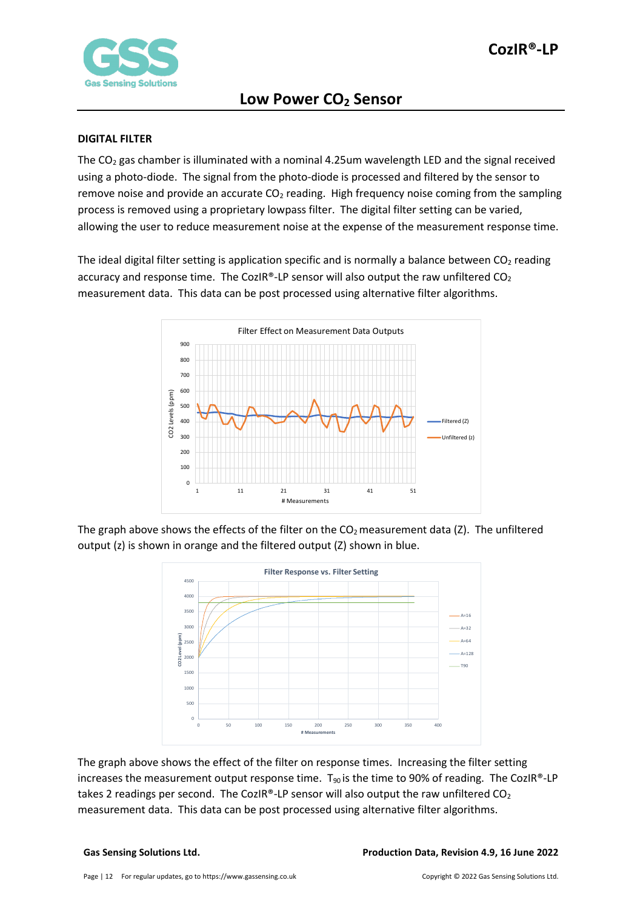

#### <span id="page-11-0"></span>**DIGITAL FILTER**

The  $CO<sub>2</sub>$  gas chamber is illuminated with a nominal 4.25um wavelength LED and the signal received using a photo-diode. The signal from the photo-diode is processed and filtered by the sensor to remove noise and provide an accurate  $CO<sub>2</sub>$  reading. High frequency noise coming from the sampling process is removed using a proprietary lowpass filter. The digital filter setting can be varied, allowing the user to reduce measurement noise at the expense of the measurement response time.

The ideal digital filter setting is application specific and is normally a balance between  $CO<sub>2</sub>$  reading accuracy and response time. The CozIR®-LP sensor will also output the raw unfiltered  $CO<sub>2</sub>$ measurement data. This data can be post processed using alternative filter algorithms.



The graph above shows the effects of the filter on the  $CO<sub>2</sub>$  measurement data (Z). The unfiltered output (z) is shown in orange and the filtered output (Z) shown in blue.



The graph above shows the effect of the filter on response times. Increasing the filter setting increases the measurement output response time.  $T_{90}$  is the time to 90% of reading. The CozIR®-LP takes 2 readings per second. The CozIR®-LP sensor will also output the raw unfiltered  $CO<sub>2</sub>$ measurement data. This data can be post processed using alternative filter algorithms.

#### **Gas Sensing Solutions Ltd. Production Data, Revision 4.9, 16 June 2022**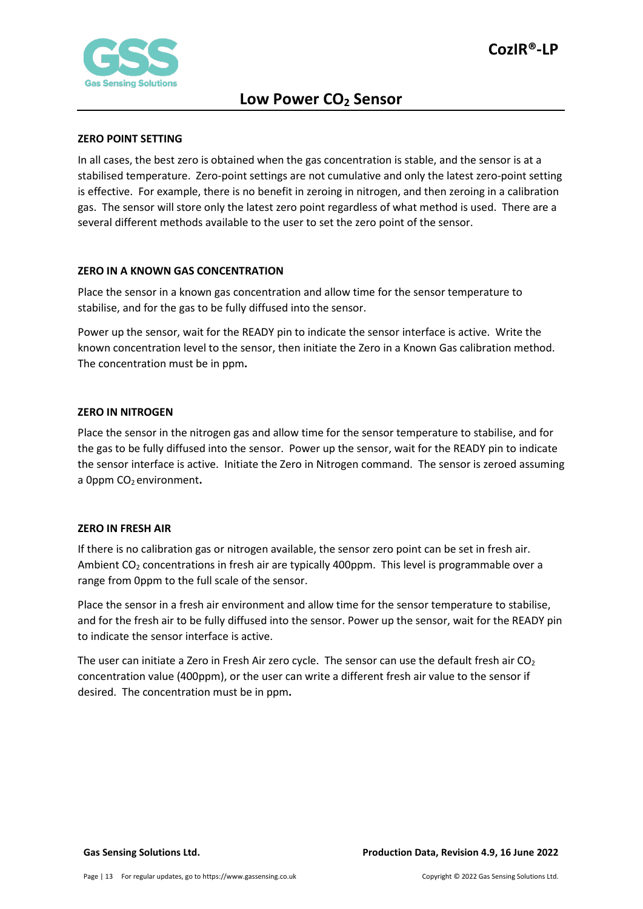

#### <span id="page-12-0"></span>**ZERO POINT SETTING**

In all cases, the best zero is obtained when the gas concentration is stable, and the sensor is at a stabilised temperature. Zero-point settings are not cumulative and only the latest zero-point setting is effective. For example, there is no benefit in zeroing in nitrogen, and then zeroing in a calibration gas. The sensor will store only the latest zero point regardless of what method is used. There are a several different methods available to the user to set the zero point of the sensor.

#### <span id="page-12-1"></span>**ZERO IN A KNOWN GAS CONCENTRATION**

Place the sensor in a known gas concentration and allow time for the sensor temperature to stabilise, and for the gas to be fully diffused into the sensor.

Power up the sensor, wait for the READY pin to indicate the sensor interface is active. Write the known concentration level to the sensor, then initiate the Zero in a Known Gas calibration method. The concentration must be in ppm**.**

#### <span id="page-12-2"></span>**ZERO IN NITROGEN**

Place the sensor in the nitrogen gas and allow time for the sensor temperature to stabilise, and for the gas to be fully diffused into the sensor. Power up the sensor, wait for the READY pin to indicate the sensor interface is active. Initiate the Zero in Nitrogen command. The sensor is zeroed assuming a 0ppm CO<sub>2</sub> environment.

#### <span id="page-12-3"></span>**ZERO IN FRESH AIR**

If there is no calibration gas or nitrogen available, the sensor zero point can be set in fresh air. Ambient CO<sub>2</sub> concentrations in fresh air are typically 400ppm. This level is programmable over a range from 0ppm to the full scale of the sensor.

Place the sensor in a fresh air environment and allow time for the sensor temperature to stabilise, and for the fresh air to be fully diffused into the sensor. Power up the sensor, wait for the READY pin to indicate the sensor interface is active.

The user can initiate a Zero in Fresh Air zero cycle. The sensor can use the default fresh air  $CO<sub>2</sub>$ concentration value (400ppm), or the user can write a different fresh air value to the sensor if desired. The concentration must be in ppm**.**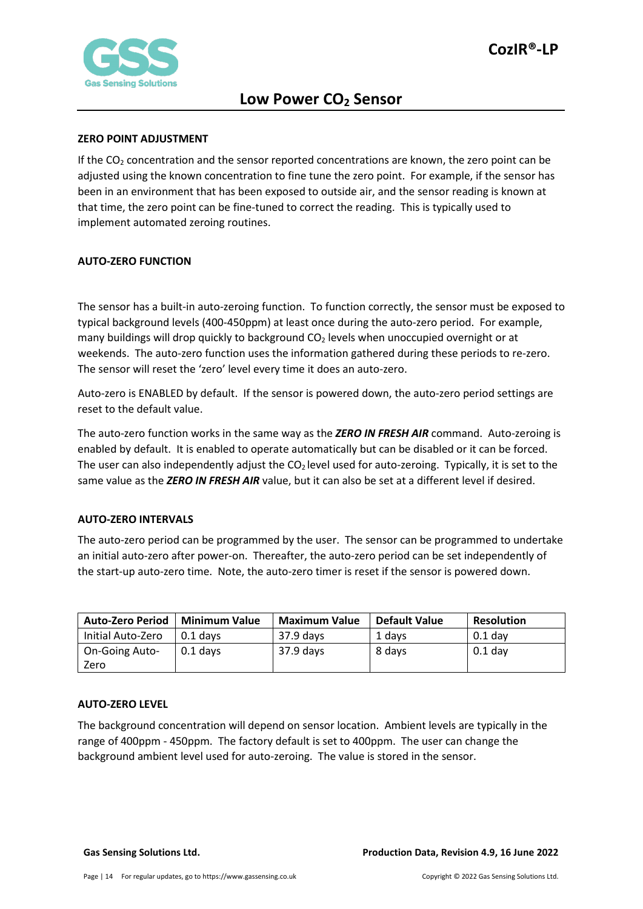

#### <span id="page-13-0"></span>**ZERO POINT ADJUSTMENT**

If the  $CO<sub>2</sub>$  concentration and the sensor reported concentrations are known, the zero point can be adjusted using the known concentration to fine tune the zero point. For example, if the sensor has been in an environment that has been exposed to outside air, and the sensor reading is known at that time, the zero point can be fine-tuned to correct the reading. This is typically used to implement automated zeroing routines.

### <span id="page-13-1"></span>**AUTO-ZERO FUNCTION**

The sensor has a built-in auto-zeroing function. To function correctly, the sensor must be exposed to typical background levels (400-450ppm) at least once during the auto-zero period. For example, many buildings will drop quickly to background  $CO<sub>2</sub>$  levels when unoccupied overnight or at weekends. The auto-zero function uses the information gathered during these periods to re-zero. The sensor will reset the 'zero' level every time it does an auto-zero.

Auto-zero is ENABLED by default. If the sensor is powered down, the auto-zero period settings are reset to the default value.

The auto-zero function works in the same way as the *ZERO IN FRESH AIR* command. Auto-zeroing is enabled by default. It is enabled to operate automatically but can be disabled or it can be forced. The user can also independently adjust the  $CO<sub>2</sub>$  level used for auto-zeroing. Typically, it is set to the same value as the *ZERO IN FRESH AIR* value, but it can also be set at a different level if desired.

### <span id="page-13-2"></span>**AUTO-ZERO INTERVALS**

The auto-zero period can be programmed by the user. The sensor can be programmed to undertake an initial auto-zero after power-on. Thereafter, the auto-zero period can be set independently of the start-up auto-zero time. Note, the auto-zero timer is reset if the sensor is powered down.

| <b>Auto-Zero Period</b> | <b>Minimum Value</b> | <b>Maximum Value</b> | Default Value | <b>Resolution</b> |
|-------------------------|----------------------|----------------------|---------------|-------------------|
| Initial Auto-Zero       | $0.1$ davs           | 37.9 days            | 1 davs        | $0.1$ day         |
| <b>On-Going Auto-</b>   | $0.1$ davs           | 37.9 days            | 8 days        | $0.1$ day         |
| Zero                    |                      |                      |               |                   |

#### <span id="page-13-3"></span>**AUTO-ZERO LEVEL**

The background concentration will depend on sensor location. Ambient levels are typically in the range of 400ppm - 450ppm. The factory default is set to 400ppm. The user can change the background ambient level used for auto-zeroing. The value is stored in the sensor.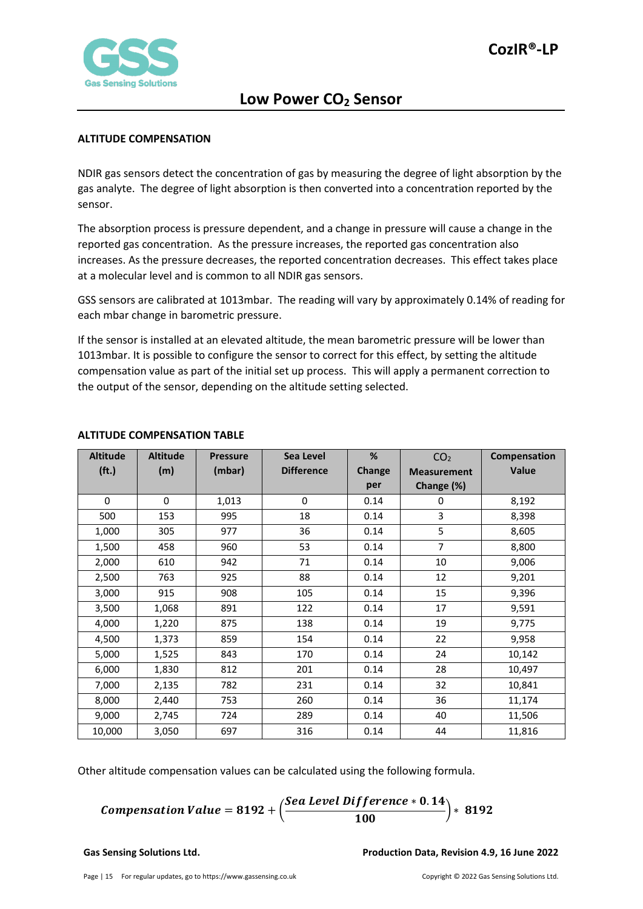

#### <span id="page-14-0"></span>**ALTITUDE COMPENSATION**

NDIR gas sensors detect the concentration of gas by measuring the degree of light absorption by the gas analyte. The degree of light absorption is then converted into a concentration reported by the sensor.

The absorption process is pressure dependent, and a change in pressure will cause a change in the reported gas concentration. As the pressure increases, the reported gas concentration also increases. As the pressure decreases, the reported concentration decreases. This effect takes place at a molecular level and is common to all NDIR gas sensors.

GSS sensors are calibrated at 1013mbar. The reading will vary by approximately 0.14% of reading for each mbar change in barometric pressure.

If the sensor is installed at an elevated altitude, the mean barometric pressure will be lower than 1013mbar. It is possible to configure the sensor to correct for this effect, by setting the altitude compensation value as part of the initial set up process. This will apply a permanent correction to the output of the sensor, depending on the altitude setting selected.

| <b>Altitude</b>   | <b>Altitude</b> | <b>Pressure</b> | Sea Level         | %      | CO <sub>2</sub>    | Compensation |
|-------------------|-----------------|-----------------|-------------------|--------|--------------------|--------------|
| (f <sub>t</sub> ) | (m)             | (mbar)          | <b>Difference</b> | Change | <b>Measurement</b> | <b>Value</b> |
|                   |                 |                 |                   | per    | Change (%)         |              |
| $\Omega$          | $\Omega$        | 1,013           | $\mathbf 0$       | 0.14   | 0                  | 8,192        |
| 500               | 153             | 995             | 18                | 0.14   | 3                  | 8,398        |
| 1,000             | 305             | 977             | 36                | 0.14   | 5                  | 8,605        |
| 1,500             | 458             | 960             | 53                | 0.14   | $\overline{7}$     | 8,800        |
| 2,000             | 610             | 942             | 71                | 0.14   | 10                 | 9,006        |
| 2,500             | 763             | 925             | 88                | 0.14   | 12                 | 9,201        |
| 3,000             | 915             | 908             | 105               | 0.14   | 15                 | 9,396        |
| 3,500             | 1,068           | 891             | 122               | 0.14   | 17                 | 9,591        |
| 4,000             | 1,220           | 875             | 138               | 0.14   | 19                 | 9,775        |
| 4,500             | 1,373           | 859             | 154               | 0.14   | 22                 | 9,958        |
| 5,000             | 1,525           | 843             | 170               | 0.14   | 24                 | 10,142       |
| 6,000             | 1,830           | 812             | 201               | 0.14   | 28                 | 10,497       |
| 7,000             | 2,135           | 782             | 231               | 0.14   | 32                 | 10,841       |
| 8,000             | 2,440           | 753             | 260               | 0.14   | 36                 | 11,174       |
| 9,000             | 2,745           | 724             | 289               | 0.14   | 40                 | 11,506       |
| 10,000            | 3,050           | 697             | 316               | 0.14   | 44                 | 11,816       |

### <span id="page-14-1"></span>**ALTITUDE COMPENSATION TABLE**

Other altitude compensation values can be calculated using the following formula.

**Comparison Value = 8192 +** 
$$
\left(\frac{See \: level \: Difference * 0.14}{100}\right) * 8192
$$

#### **Gas Sensing Solutions Ltd. Production Data, Revision 4.9, 16 June 2022**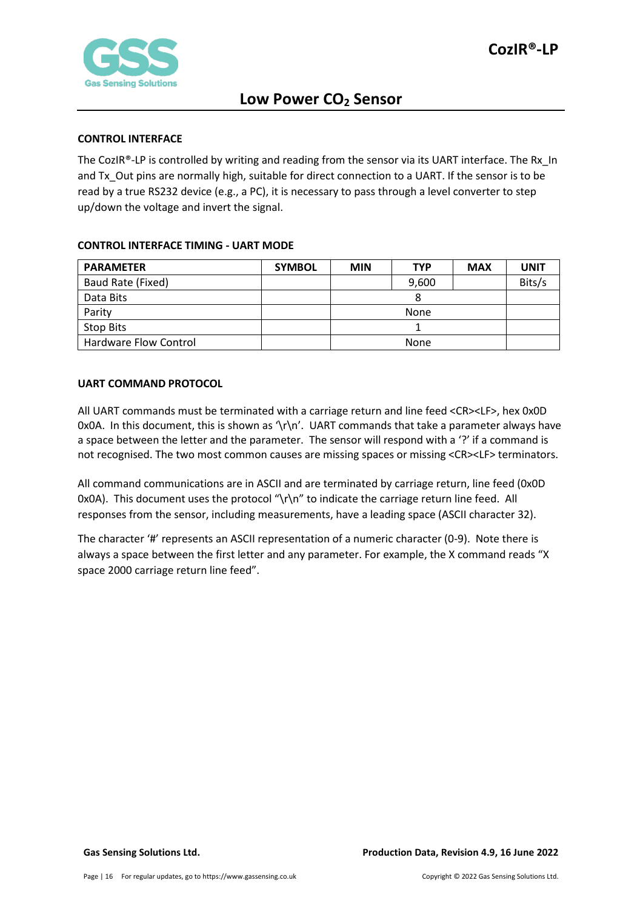

#### <span id="page-15-0"></span>**CONTROL INTERFACE**

The CozIR®-LP is controlled by writing and reading from the sensor via its UART interface. The Rx In and Tx Out pins are normally high, suitable for direct connection to a UART. If the sensor is to be read by a true RS232 device (e.g., a PC), it is necessary to pass through a level converter to step up/down the voltage and invert the signal.

### <span id="page-15-1"></span>**CONTROL INTERFACE TIMING - UART MODE**

| <b>PARAMETER</b>      | <b>SYMBOL</b> | <b>MIN</b> | <b>TYP</b> | <b>MAX</b> | <b>UNIT</b> |  |
|-----------------------|---------------|------------|------------|------------|-------------|--|
| Baud Rate (Fixed)     |               |            | 9,600      |            | Bits/s      |  |
| Data Bits             |               |            |            |            |             |  |
| Parity                |               | None       |            |            |             |  |
| Stop Bits             |               |            |            |            |             |  |
| Hardware Flow Control |               |            | None       |            |             |  |

### <span id="page-15-2"></span>**UART COMMAND PROTOCOL**

All UART commands must be terminated with a carriage return and line feed <CR><LF>, hex 0x0D 0x0A. In this document, this is shown as '\r\n'. UART commands that take a parameter always have a space between the letter and the parameter. The sensor will respond with a '?' if a command is not recognised. The two most common causes are missing spaces or missing <CR><LF> terminators.

All command communications are in ASCII and are terminated by carriage return, line feed (0x0D 0x0A). This document uses the protocol " $\lceil \cdot \rceil$ " to indicate the carriage return line feed. All responses from the sensor, including measurements, have a leading space (ASCII character 32).

The character '#' represents an ASCII representation of a numeric character (0-9). Note there is always a space between the first letter and any parameter. For example, the X command reads "X space 2000 carriage return line feed".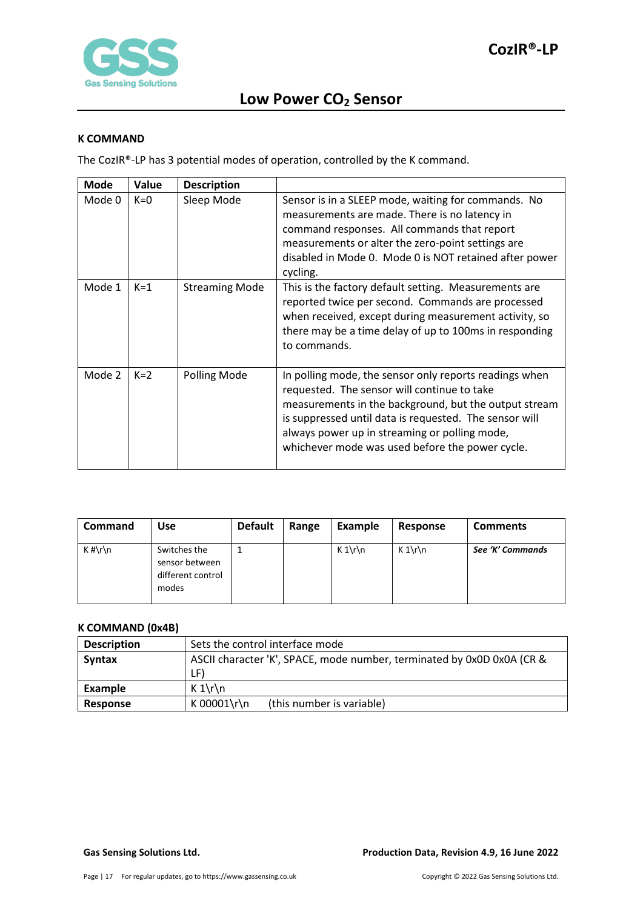

#### <span id="page-16-0"></span>**K COMMAND**

The CozIR®-LP has 3 potential modes of operation, controlled by the K command.

| <b>Mode</b> | Value | <b>Description</b>    |                                                                                                                                                                                                                                                                                                                              |
|-------------|-------|-----------------------|------------------------------------------------------------------------------------------------------------------------------------------------------------------------------------------------------------------------------------------------------------------------------------------------------------------------------|
| Mode 0      | $K=0$ | Sleep Mode            | Sensor is in a SLEEP mode, waiting for commands. No<br>measurements are made. There is no latency in<br>command responses. All commands that report<br>measurements or alter the zero-point settings are<br>disabled in Mode 0. Mode 0 is NOT retained after power<br>cycling.                                               |
| Mode 1      | $K=1$ | <b>Streaming Mode</b> | This is the factory default setting. Measurements are<br>reported twice per second. Commands are processed<br>when received, except during measurement activity, so<br>there may be a time delay of up to 100ms in responding<br>to commands.                                                                                |
| Mode 2      | $K=2$ | Polling Mode          | In polling mode, the sensor only reports readings when<br>requested. The sensor will continue to take<br>measurements in the background, but the output stream<br>is suppressed until data is requested. The sensor will<br>always power up in streaming or polling mode,<br>whichever mode was used before the power cycle. |

| <b>Command</b> | Use                                                          | <b>Default</b> | Range | Example | Response | <b>Comments</b>  |
|----------------|--------------------------------------------------------------|----------------|-------|---------|----------|------------------|
| $K \# \r \n$   | Switches the<br>sensor between<br>different control<br>modes |                |       | $K 1\$  | $K 1\$   | See 'K' Commands |

## <span id="page-16-1"></span>**K COMMAND (0x4B)**

| <b>Description</b> | Sets the control interface mode                                        |  |  |
|--------------------|------------------------------------------------------------------------|--|--|
| <b>Syntax</b>      | ASCII character 'K', SPACE, mode number, terminated by 0x0D 0x0A (CR & |  |  |
|                    | LF)                                                                    |  |  |
| Example            | $K 1\$                                                                 |  |  |
| Response           | K 00001\r\n<br>(this number is variable)                               |  |  |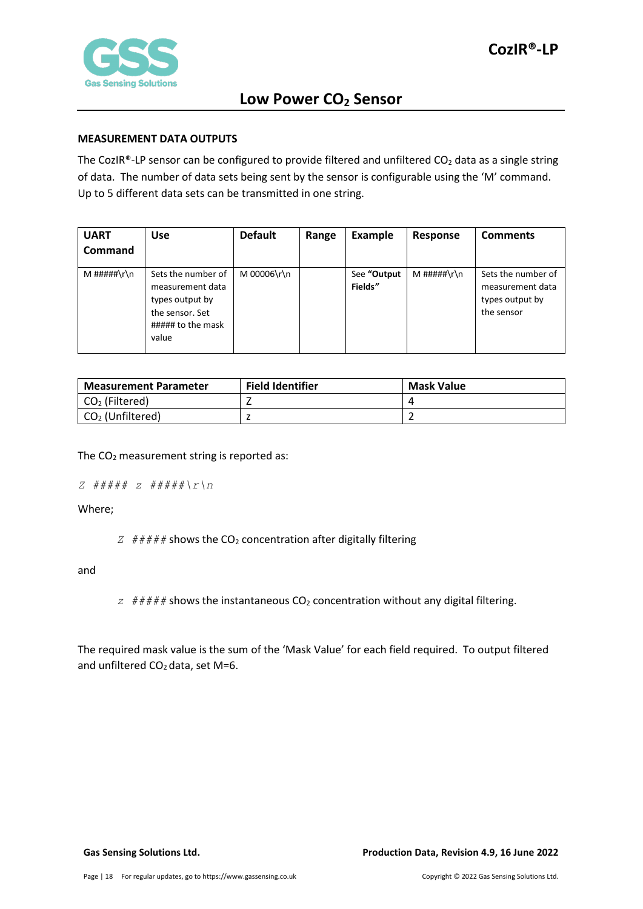

#### <span id="page-17-0"></span>**MEASUREMENT DATA OUTPUTS**

The CozIR®-LP sensor can be configured to provide filtered and unfiltered  $CO<sub>2</sub>$  data as a single string of data. The number of data sets being sent by the sensor is configurable using the 'M' command. Up to 5 different data sets can be transmitted in one string.

| <b>UART</b><br><b>Command</b> | <b>Use</b>                                                                                                 | <b>Default</b> | Range | Example                | Response    | <b>Comments</b>                                                         |
|-------------------------------|------------------------------------------------------------------------------------------------------------|----------------|-------|------------------------|-------------|-------------------------------------------------------------------------|
| M #####\r\n                   | Sets the number of<br>measurement data<br>types output by<br>the sensor. Set<br>##### to the mask<br>value | M 00006\r\n    |       | See "Output<br>Fields" | M #####\r\n | Sets the number of<br>measurement data<br>types output by<br>the sensor |

| <b>Measurement Parameter</b> | <b>Field Identifier</b> | <b>Mask Value</b> |
|------------------------------|-------------------------|-------------------|
| $CO2$ (Filtered)             |                         |                   |
| $CO2$ (Unfiltered)           |                         |                   |

The  $CO<sub>2</sub>$  measurement string is reported as:

```
Z ##### z #####\r\n
```
Where;

 $Z \neq \# \# \# \#$  shows the CO<sub>2</sub> concentration after digitally filtering

and

 $z$  ##### shows the instantaneous  $CO<sub>2</sub>$  concentration without any digital filtering.

The required mask value is the sum of the 'Mask Value' for each field required. To output filtered and unfiltered  $CO<sub>2</sub>$  data, set M=6.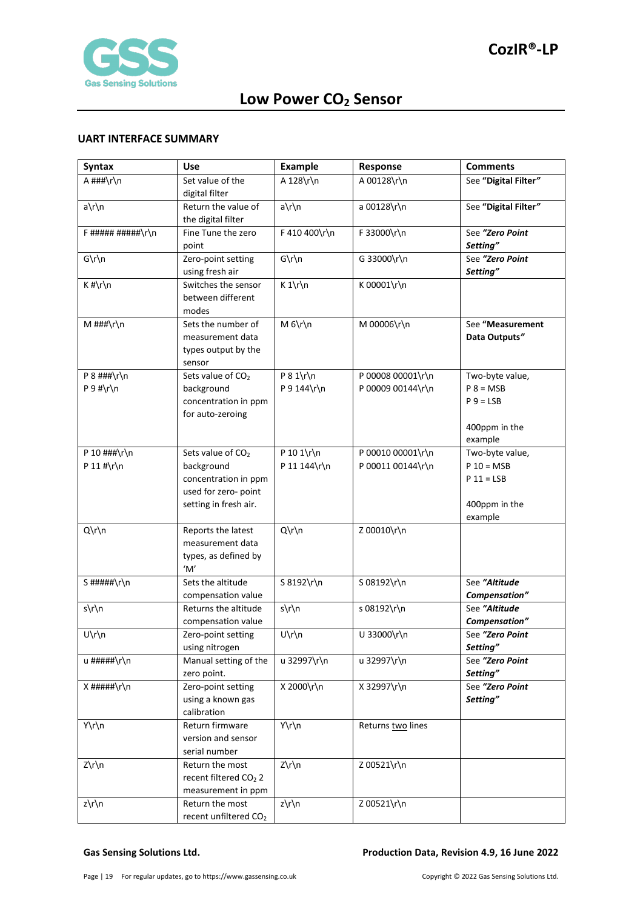

#### <span id="page-18-0"></span>**UART INTERFACE SUMMARY**

| <b>Syntax</b>      | <b>Use</b>                            | <b>Example</b> | Response          | <b>Comments</b>             |
|--------------------|---------------------------------------|----------------|-------------------|-----------------------------|
| A ###\r\n          | Set value of the                      | A 128\r\n      | A 00128\r\n       | See "Digital Filter"        |
|                    | digital filter                        |                |                   |                             |
| a\r\n              | Return the value of                   | a\r\n          | a 00128\r\n       | See "Digital Filter"        |
|                    | the digital filter                    |                |                   |                             |
| $F$ ##########\r\n | Fine Tune the zero                    | F 410 400\r\n  | F 33000\r\n       | See "Zero Point             |
|                    | point                                 |                |                   | Setting"<br>See "Zero Point |
| $G\r\ln$           | Zero-point setting<br>using fresh air | $G\r\ln$       | G 33000\r\n       | Setting"                    |
| $K$ #\r\n          | Switches the sensor                   | $K 1\r \n\ln$  | K 00001\r\n       |                             |
|                    | between different                     |                |                   |                             |
|                    | modes                                 |                |                   |                             |
| M ###\r\n          | Sets the number of                    | $M_6\r\ln$     | M 00006\r\n       | See "Measurement            |
|                    | measurement data                      |                |                   | Data Outputs"               |
|                    | types output by the                   |                |                   |                             |
|                    | sensor                                |                |                   |                             |
| P $8$ ###\r\n      | Sets value of CO <sub>2</sub>         | $P 8 1\$ r\n   | P 00008 00001\r\n | Two-byte value,             |
| $P 9$ #\r\n        | background                            | P 9 144\r\n    | P 00009 00144\r\n | $P 8 = MSB$                 |
|                    | concentration in ppm                  |                |                   | $P 9 = LSB$                 |
|                    | for auto-zeroing                      |                |                   | 400ppm in the               |
|                    |                                       |                |                   | example                     |
| P 10 ###\r\n       | Sets value of CO <sub>2</sub>         | P 10 1\r\n     | P 00010 00001\r\n | Two-byte value,             |
| P 11 #\r\n         | background                            | P 11 144\r\n   | P 00011 00144\r\n | $P 10 = MSB$                |
|                    | concentration in ppm                  |                |                   | $P 11 = LSB$                |
|                    | used for zero- point                  |                |                   |                             |
|                    | setting in fresh air.                 |                |                   | 400ppm in the               |
|                    |                                       |                |                   | example                     |
| Q\r\n              | Reports the latest                    | Q\r\n          | Z 00010\r\n       |                             |
|                    | measurement data                      |                |                   |                             |
|                    | types, as defined by                  |                |                   |                             |
| S#####\r\n         | 'M'<br>Sets the altitude              | S 8192\r\n     | S 08192\r\n       | See "Altitude               |
|                    | compensation value                    |                |                   | Compensation"               |
| s\r\n              | Returns the altitude                  | s\r\n          | s 08192\r\n       | See "Altitude               |
|                    | compensation value                    |                |                   | Compensation"               |
| U\r\n              | Zero-point setting                    | U\r\n          | U 33000\r\n       | See "Zero Point             |
|                    | using nitrogen                        |                |                   | Setting"                    |
| u #####\r\n        | Manual setting of the                 | u 32997\r\n    | u 32997\r\n       | See "Zero Point             |
|                    | zero point.                           |                |                   | Setting"                    |
| $X$ #####\r\n      | Zero-point setting                    | X 2000\r\n     | X 32997\r\n       | See "Zero Point             |
|                    | using a known gas                     |                |                   | Setting"                    |
|                    | calibration                           |                |                   |                             |
| Y\r\n              | Return firmware                       | Y\r\n          | Returns two lines |                             |
|                    | version and sensor<br>serial number   |                |                   |                             |
| Z\r\n              | Return the most                       | $Z\rrn$        | Z 00521\r\n       |                             |
|                    | recent filtered CO <sub>2</sub> 2     |                |                   |                             |
|                    | measurement in ppm                    |                |                   |                             |
| z\r\n              | Return the most                       | z\r\n          | Z 00521\r\n       |                             |
|                    | recent unfiltered CO <sub>2</sub>     |                |                   |                             |

#### **Gas Sensing Solutions Ltd. Production Data, Revision 4.9, 16 June 2022**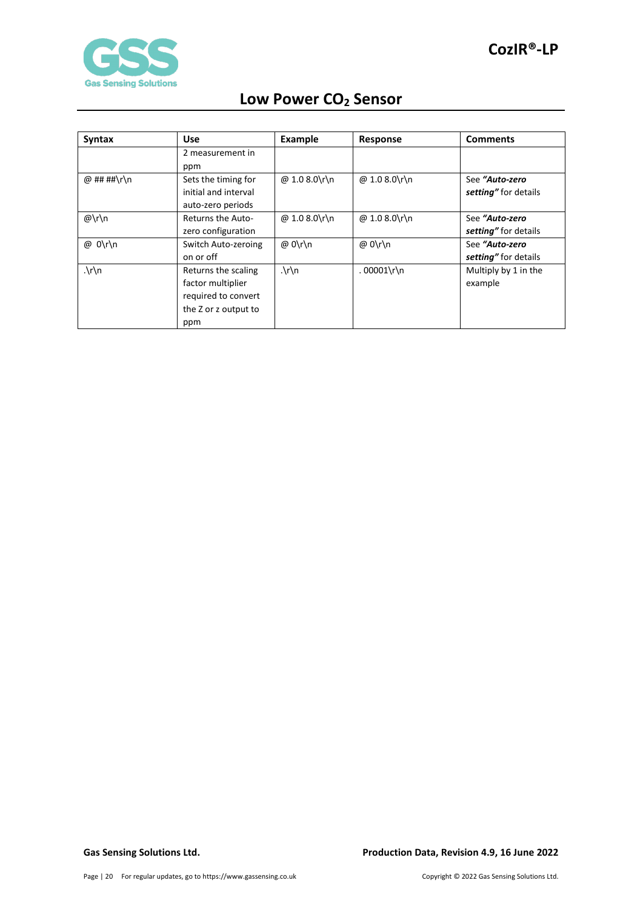

| Low Power CO <sub>2</sub> Sensor |  |  |
|----------------------------------|--|--|
|----------------------------------|--|--|

| Syntax         | <b>Use</b>           | <b>Example</b>       | Response      | <b>Comments</b>      |
|----------------|----------------------|----------------------|---------------|----------------------|
|                | 2 measurement in     |                      |               |                      |
|                | ppm                  |                      |               |                      |
| @ ## ##\r\n    | Sets the timing for  | @ 1.0 8.0\r\n        | @ 1.0 8.0\r\n | See "Auto-zero       |
|                | initial and interval |                      |               | setting" for details |
|                | auto-zero periods    |                      |               |                      |
| $@\r\ln$       | Returns the Auto-    | @ 1.0 8.0\r\n        | @ 1.0 8.0\r\n | See "Auto-zero       |
|                | zero configuration   |                      |               | setting" for details |
| @ 0\r\n        | Switch Auto-zeroing  | @ 0\r\n              | @ 0\r\n       | See "Auto-zero       |
|                | on or off            |                      |               | setting" for details |
| $\cdot \int n$ | Returns the scaling  | $\cdot \int r \, dr$ | $.00001\$     | Multiply by 1 in the |
|                | factor multiplier    |                      |               | example              |
|                | required to convert  |                      |               |                      |
|                | the Z or z output to |                      |               |                      |
|                | ppm                  |                      |               |                      |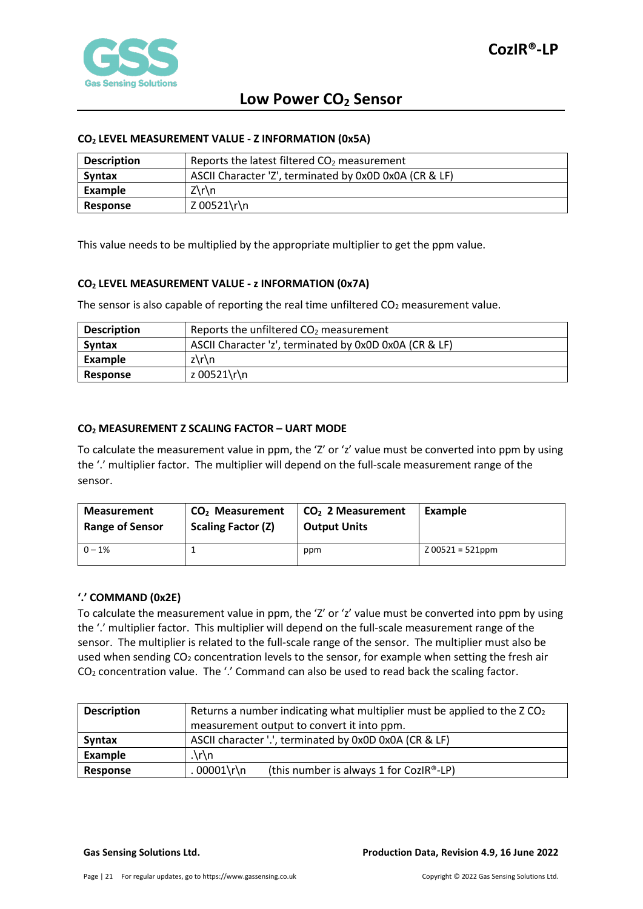

#### <span id="page-20-0"></span>**CO2 LEVEL MEASUREMENT VALUE - Z INFORMATION (0x5A)**

| <b>Description</b> | Reports the latest filtered $CO2$ measurement          |
|--------------------|--------------------------------------------------------|
| <b>Syntax</b>      | ASCII Character 'Z', terminated by 0x0D 0x0A (CR & LF) |
| Example            | $Z\Gamma$                                              |
| Response           | Z 00521\r\n                                            |

This value needs to be multiplied by the appropriate multiplier to get the ppm value.

### <span id="page-20-1"></span>**CO2 LEVEL MEASUREMENT VALUE - z INFORMATION (0x7A)**

The sensor is also capable of reporting the real time unfiltered  $CO<sub>2</sub>$  measurement value.

| <b>Description</b> | Reports the unfiltered $CO2$ measurement               |
|--------------------|--------------------------------------------------------|
| <b>Syntax</b>      | ASCII Character 'z', terminated by 0x0D 0x0A (CR & LF) |
| Example            | $z\$ n                                                 |
| Response           | z 00521\r\n                                            |

### <span id="page-20-2"></span>**CO2 MEASUREMENT Z SCALING FACTOR – UART MODE**

To calculate the measurement value in ppm, the 'Z' or 'z' value must be converted into ppm by using the '.' multiplier factor. The multiplier will depend on the full-scale measurement range of the sensor.

| <b>Measurement</b>     | CO <sub>2</sub> Measurement | $CO2$ 2 Measurement | Example            |
|------------------------|-----------------------------|---------------------|--------------------|
| <b>Range of Sensor</b> | <b>Scaling Factor (Z)</b>   | <b>Output Units</b> |                    |
| $0 - 1%$               |                             | ppm                 | $Z$ 00521 = 521ppm |

#### <span id="page-20-3"></span>**'.' COMMAND (0x2E)**

To calculate the measurement value in ppm, the 'Z' or 'z' value must be converted into ppm by using the '.' multiplier factor. This multiplier will depend on the full-scale measurement range of the sensor. The multiplier is related to the full-scale range of the sensor. The multiplier must also be used when sending  $CO<sub>2</sub>$  concentration levels to the sensor, for example when setting the fresh air CO2 concentration value. The '.' Command can also be used to read back the scaling factor.

| <b>Description</b> | Returns a number indicating what multiplier must be applied to the $ZCO2$ |  |  |  |
|--------------------|---------------------------------------------------------------------------|--|--|--|
|                    | measurement output to convert it into ppm.                                |  |  |  |
| <b>Syntax</b>      | ASCII character '.', terminated by 0x0D 0x0A (CR & LF)                    |  |  |  |
| Example            | .\r\n                                                                     |  |  |  |
| Response           | . 00001\r\n<br>(this number is always 1 for CozIR®-LP)                    |  |  |  |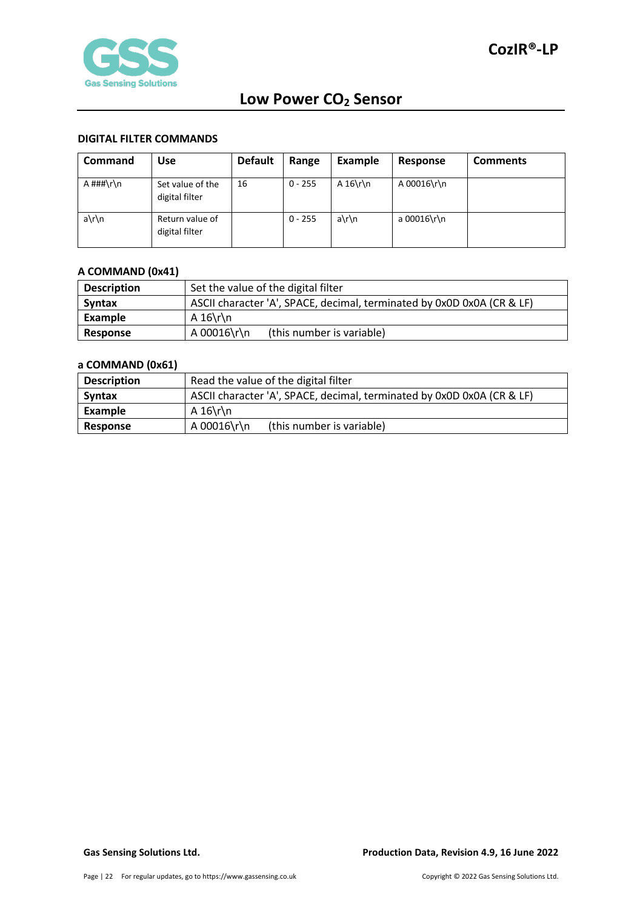

#### <span id="page-21-0"></span>**DIGITAL FILTER COMMANDS**

| <b>Command</b>     | Use                                | <b>Default</b> | Range     | Example     | Response    | <b>Comments</b> |
|--------------------|------------------------------------|----------------|-----------|-------------|-------------|-----------------|
| A $\# \# \{r \}$ n | Set value of the<br>digital filter | 16             | $0 - 255$ | A $16\$ r\n | A 00016\r\n |                 |
| a\r\n              | Return value of<br>digital filter  |                | $0 - 255$ | a\r\n       | a 00016\r\n |                 |

### <span id="page-21-1"></span>**A COMMAND (0x41)**

| <b>Description</b> | Set the value of the digital filter                                    |  |  |  |
|--------------------|------------------------------------------------------------------------|--|--|--|
| Syntax             | ASCII character 'A', SPACE, decimal, terminated by 0x0D 0x0A (CR & LF) |  |  |  |
| Example            | A 16\r\n                                                               |  |  |  |
| Response           | A 00016\r\n<br>(this number is variable)                               |  |  |  |

### <span id="page-21-2"></span>**a COMMAND (0x61)**

| <b>Description</b> | Read the value of the digital filter                                   |  |  |  |
|--------------------|------------------------------------------------------------------------|--|--|--|
| <b>Syntax</b>      | ASCII character 'A', SPACE, decimal, terminated by 0x0D 0x0A (CR & LF) |  |  |  |
| Example            | A $16\$ r\n                                                            |  |  |  |
| Response           | A 00016\r\n<br>(this number is variable)                               |  |  |  |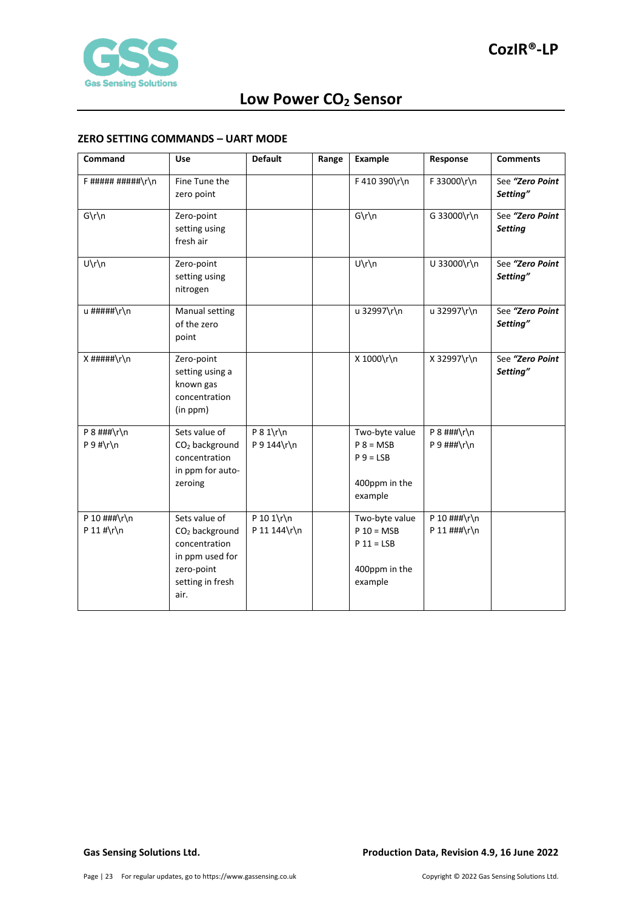

#### <span id="page-22-0"></span>**ZERO SETTING COMMANDS – UART MODE**

| Command                        | <b>Use</b>                                                                                                                | <b>Default</b>              | Range | <b>Example</b>                                                             | Response                                         | <b>Comments</b>                   |
|--------------------------------|---------------------------------------------------------------------------------------------------------------------------|-----------------------------|-------|----------------------------------------------------------------------------|--------------------------------------------------|-----------------------------------|
| $F$ ##########\r\n             | Fine Tune the<br>zero point                                                                                               |                             |       | F 410 390\r\n                                                              | F 33000\r\n                                      | See "Zero Point<br>Setting"       |
| $G\r\ln$                       | Zero-point<br>setting using<br>fresh air                                                                                  |                             |       | $G\r\ln$                                                                   | G 33000\r\n                                      | See "Zero Point<br><b>Setting</b> |
| $U\r\ln$                       | Zero-point<br>setting using<br>nitrogen                                                                                   |                             |       | U\r\n                                                                      | U 33000\r\n                                      | See "Zero Point<br>Setting"       |
| u #####\r\n                    | Manual setting<br>of the zero<br>point                                                                                    |                             |       | u 32997\r\n                                                                | u 32997\r\n                                      | See "Zero Point<br>Setting"       |
| $X$ #####\r\n                  | Zero-point<br>setting using a<br>known gas<br>concentration<br>(in ppm)                                                   |                             |       | X 1000\r\n                                                                 | X 32997\r\n                                      | See "Zero Point<br>Setting"       |
| $P$ 8 ###\r\n<br>$P 9$ #\r\n   | Sets value of<br>CO <sub>2</sub> background<br>concentration<br>in ppm for auto-<br>zeroing                               | $P 8 1\$ r\n<br>P 9 144\r\n |       | Two-byte value<br>$P 8 = MSB$<br>$P 9 = LSB$<br>400ppm in the<br>example   | $P$ 8 ###\r\n<br>$P$ 9 ###\r\n                   |                                   |
| P 10 $\#$ ##\r\n<br>P 11 #\r\n | Sets value of<br>CO <sub>2</sub> background<br>concentration<br>in ppm used for<br>zero-point<br>setting in fresh<br>air. | P 10 1\r\n<br>P 11 144\r\n  |       | Two-byte value<br>$P 10 = MSB$<br>$P 11 = LSB$<br>400ppm in the<br>example | P 10 $\#$ # $\hbar$ \n<br>P 11 $\#$ # $\r \n\ln$ |                                   |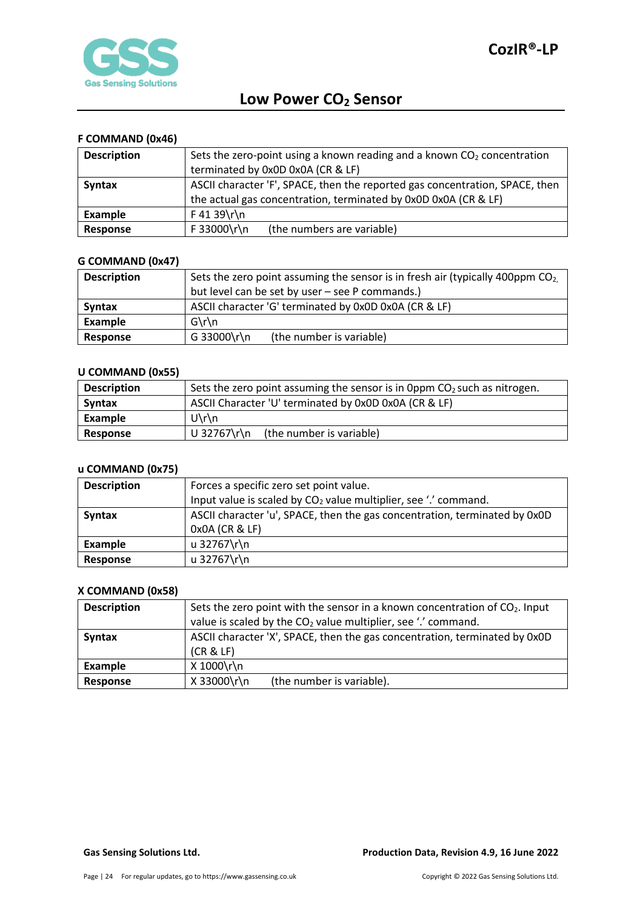

## <span id="page-23-0"></span>**F COMMAND (0x46)**

| <b>Description</b> | Sets the zero-point using a known reading and a known $CO2$ concentration    |  |  |  |  |
|--------------------|------------------------------------------------------------------------------|--|--|--|--|
|                    | terminated by 0x0D 0x0A (CR & LF)                                            |  |  |  |  |
| <b>Syntax</b>      | ASCII character 'F', SPACE, then the reported gas concentration, SPACE, then |  |  |  |  |
|                    | the actual gas concentration, terminated by 0x0D 0x0A (CR & LF)              |  |  |  |  |
| Example            | $F$ 41 39\r\n                                                                |  |  |  |  |
| Response           | F 33000\r\n<br>(the numbers are variable)                                    |  |  |  |  |

### <span id="page-23-1"></span>**G COMMAND (0x47)**

| <b>Description</b> | Sets the zero point assuming the sensor is in fresh air (typically 400ppm $CO2$ ) |  |  |  |  |
|--------------------|-----------------------------------------------------------------------------------|--|--|--|--|
|                    | but level can be set by user - see P commands.)                                   |  |  |  |  |
| Syntax             | ASCII character 'G' terminated by 0x0D 0x0A (CR & LF)                             |  |  |  |  |
| Example            | $G\$ n                                                                            |  |  |  |  |
| Response           | G 33000\r\n<br>(the number is variable)                                           |  |  |  |  |

#### <span id="page-23-2"></span>**U COMMAND (0x55)**

| <b>Description</b> | Sets the zero point assuming the sensor is in 0ppm $CO2$ such as nitrogen. |  |  |  |
|--------------------|----------------------------------------------------------------------------|--|--|--|
| <b>Syntax</b>      | ASCII Character 'U' terminated by 0x0D 0x0A (CR & LF)                      |  |  |  |
| Example            | $U\$ n                                                                     |  |  |  |
| Response           | U 32767\r\n<br>(the number is variable)                                    |  |  |  |

### <span id="page-23-3"></span>**u COMMAND (0x75)**

| <b>Description</b> | Forces a specific zero set point value.                                    |  |  |  |
|--------------------|----------------------------------------------------------------------------|--|--|--|
|                    | Input value is scaled by $CO2$ value multiplier, see '.' command.          |  |  |  |
| <b>Syntax</b>      | ASCII character 'u', SPACE, then the gas concentration, terminated by 0x0D |  |  |  |
|                    | 0x0A (CR & LF)                                                             |  |  |  |
| Example            | u 32767\r\n                                                                |  |  |  |
| Response           | u 32767\r\n                                                                |  |  |  |

#### <span id="page-23-4"></span>**X COMMAND (0x58)**

| <b>Description</b> | Sets the zero point with the sensor in a known concentration of $CO2$ . Input |  |  |  |  |
|--------------------|-------------------------------------------------------------------------------|--|--|--|--|
|                    | value is scaled by the CO <sub>2</sub> value multiplier, see '.' command.     |  |  |  |  |
| <b>Syntax</b>      | ASCII character 'X', SPACE, then the gas concentration, terminated by 0x0D    |  |  |  |  |
|                    | (CR & LF)                                                                     |  |  |  |  |
| Example            | X 1000\r\n                                                                    |  |  |  |  |
| Response           | X 33000\r\n<br>(the number is variable).                                      |  |  |  |  |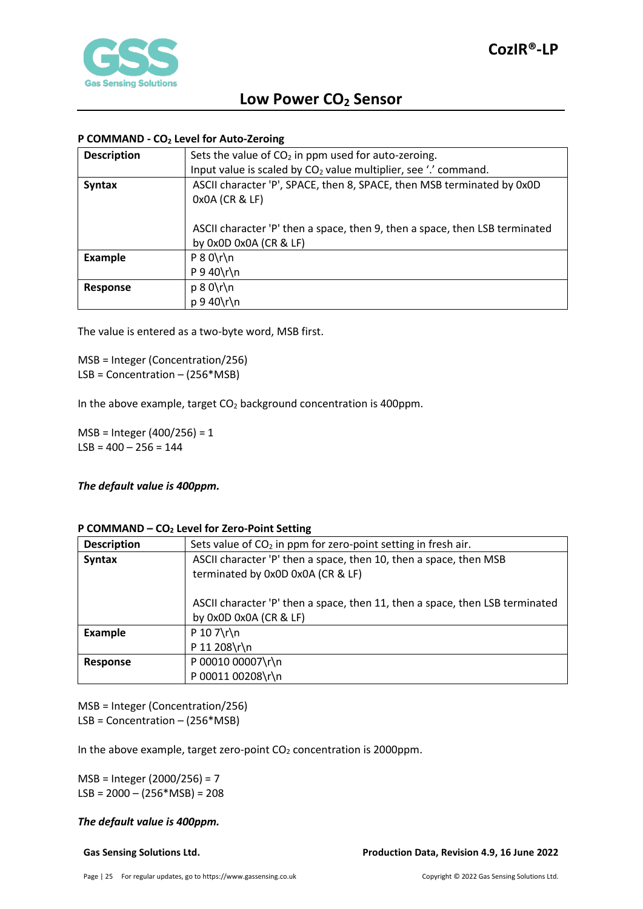

### <span id="page-24-0"></span>**P COMMAND - CO2 Level for Auto-Zeroing**

| <b>Description</b> | Sets the value of $CO2$ in ppm used for auto-zeroing.                       |
|--------------------|-----------------------------------------------------------------------------|
|                    | Input value is scaled by $CO2$ value multiplier, see '.' command.           |
| <b>Syntax</b>      | ASCII character 'P', SPACE, then 8, SPACE, then MSB terminated by 0x0D      |
|                    | 0x0A (CR & LF)                                                              |
|                    |                                                                             |
|                    | ASCII character 'P' then a space, then 9, then a space, then LSB terminated |
|                    | by 0x0D 0x0A (CR & LF)                                                      |
| <b>Example</b>     | $P 8 0 \rln$                                                                |
|                    | $P$ 9 40\r\n                                                                |
| Response           | $p 8 0 \rightharpoonup n$                                                   |
|                    | $p \frac{9}{40}$ r $\ln$                                                    |

The value is entered as a two-byte word, MSB first.

MSB = Integer (Concentration/256) LSB = Concentration – (256\*MSB)

In the above example, target  $CO<sub>2</sub>$  background concentration is 400ppm.

MSB = Integer (400/256) = 1  $LSB = 400 - 256 = 144$ 

*The default value is 400ppm.*

#### <span id="page-24-1"></span>**P COMMAND – CO2 Level for Zero-Point Setting**

| <b>Description</b> | Sets value of $CO2$ in ppm for zero-point setting in fresh air.              |  |  |  |  |
|--------------------|------------------------------------------------------------------------------|--|--|--|--|
| <b>Syntax</b>      | ASCII character 'P' then a space, then 10, then a space, then MSB            |  |  |  |  |
|                    | terminated by 0x0D 0x0A (CR & LF)                                            |  |  |  |  |
|                    |                                                                              |  |  |  |  |
|                    | ASCII character 'P' then a space, then 11, then a space, then LSB terminated |  |  |  |  |
|                    | by 0x0D 0x0A (CR & LF)                                                       |  |  |  |  |
| <b>Example</b>     | P 10 $7\$ r\n                                                                |  |  |  |  |
|                    | P 11 208\r\n                                                                 |  |  |  |  |
| Response           | P 00010 00007\r\n                                                            |  |  |  |  |
|                    | P 00011 00208\r\n                                                            |  |  |  |  |

MSB = Integer (Concentration/256) LSB = Concentration – (256\*MSB)

In the above example, target zero-point  $CO<sub>2</sub>$  concentration is 2000ppm.

MSB = Integer (2000/256) = 7  $LSB = 2000 - (256*MSB) = 208$ 

#### *The default value is 400ppm.*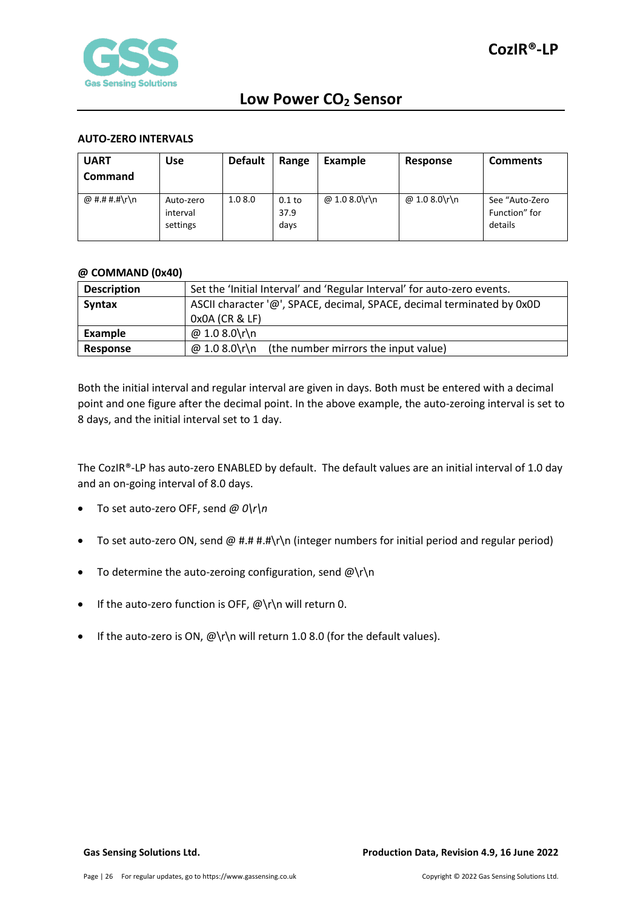

#### <span id="page-25-0"></span>**AUTO-ZERO INTERVALS**

| <b>UART</b><br><b>Command</b> | <b>Use</b>                        | <b>Default</b> | Range                    | Example       | Response      | <b>Comments</b>                            |
|-------------------------------|-----------------------------------|----------------|--------------------------|---------------|---------------|--------------------------------------------|
| @ #.# #.#\r\n                 | Auto-zero<br>interval<br>settings | 1.08.0         | $0.1$ to<br>37.9<br>days | @ 1.0 8.0\r\n | @ 1.0 8.0\r\n | See "Auto-Zero<br>Function" for<br>details |

#### <span id="page-25-1"></span>**@ COMMAND (0x40)**

| <b>Description</b> | Set the 'Initial Interval' and 'Regular Interval' for auto-zero events. |  |  |
|--------------------|-------------------------------------------------------------------------|--|--|
| <b>Syntax</b>      | ASCII character '@', SPACE, decimal, SPACE, decimal terminated by 0x0D  |  |  |
|                    | 0x0A (CR & LF)                                                          |  |  |
| Example            | @ 1.0 8.0\r\n                                                           |  |  |
| Response           | @ 1.0 8.0\r\n<br>(the number mirrors the input value)                   |  |  |

Both the initial interval and regular interval are given in days. Both must be entered with a decimal point and one figure after the decimal point. In the above example, the auto-zeroing interval is set to 8 days, and the initial interval set to 1 day.

The CozIR®-LP has auto-zero ENABLED by default. The default values are an initial interval of 1.0 day and an on-going interval of 8.0 days.

- To set auto-zero OFF, send *@ 0\r\n*
- To set auto-zero ON, send @ #.# #.#\r\n (integer numbers for initial period and regular period)
- To determine the auto-zeroing configuration, send  $@{\rceil}$ n
- If the auto-zero function is OFF, @\r\n will return 0.
- If the auto-zero is ON,  $@{\rceil}$ n will return 1.0 8.0 (for the default values).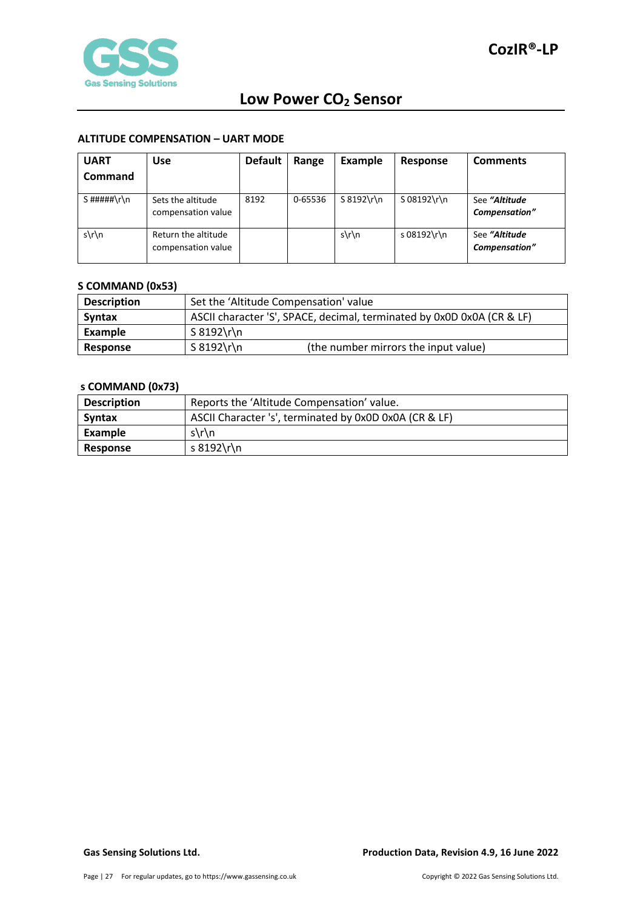

#### <span id="page-26-0"></span>**ALTITUDE COMPENSATION – UART MODE**

| <b>UART</b><br>Command | <b>Use</b>                                | <b>Default</b> | Range   | Example    | Response      | <b>Comments</b>                |
|------------------------|-------------------------------------------|----------------|---------|------------|---------------|--------------------------------|
| S#####\r\n             | Sets the altitude<br>compensation value   | 8192           | 0-65536 | S 8192\r\n | $S$ 08192\r\n | See "Altitude<br>Compensation" |
| $s\$ n                 | Return the altitude<br>compensation value |                |         | $s\$ n     | s 08192\r\n   | See "Altitude<br>Compensation" |

## <span id="page-26-1"></span>**S COMMAND (0x53)**

| <b>Description</b> | Set the 'Altitude Compensation' value                                  |                                      |  |
|--------------------|------------------------------------------------------------------------|--------------------------------------|--|
| Syntax             | ASCII character 'S', SPACE, decimal, terminated by 0x0D 0x0A (CR & LF) |                                      |  |
| Example            | $S 8192 \rln$                                                          |                                      |  |
| Response           | $S 8192 \rln$                                                          | (the number mirrors the input value) |  |

### <span id="page-26-2"></span>**s COMMAND (0x73)**

| <b>Description</b> | Reports the 'Altitude Compensation' value.             |  |  |
|--------------------|--------------------------------------------------------|--|--|
| <b>Syntax</b>      | ASCII Character 's', terminated by 0x0D 0x0A (CR & LF) |  |  |
| Example            | $s\$ n                                                 |  |  |
| <b>Response</b>    | s 8192\r\n                                             |  |  |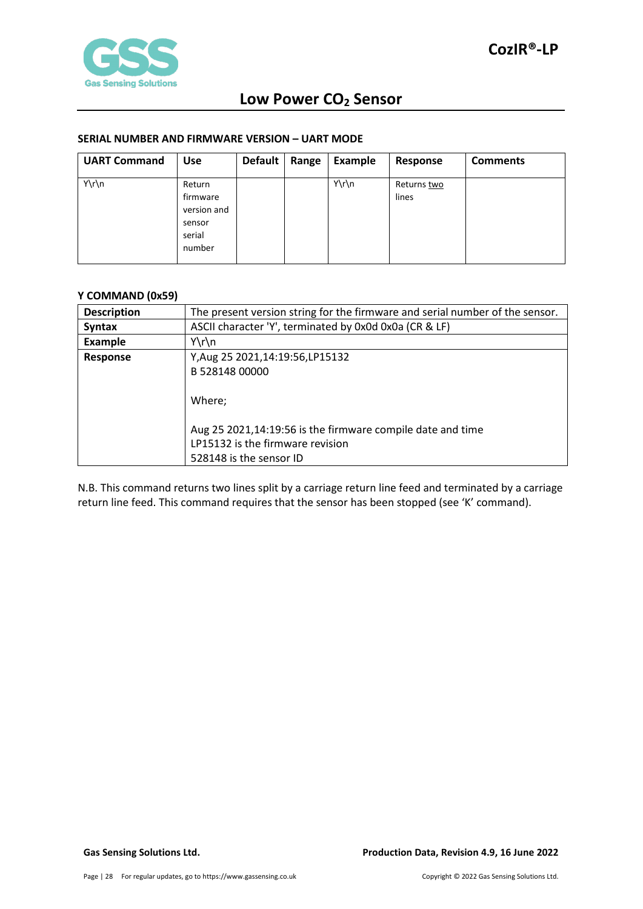

#### <span id="page-27-0"></span>**SERIAL NUMBER AND FIRMWARE VERSION – UART MODE**

| <b>UART Command</b> | <b>Use</b>                                                      | <b>Default</b> | Range | <b>Example</b> | Response             | <b>Comments</b> |
|---------------------|-----------------------------------------------------------------|----------------|-------|----------------|----------------------|-----------------|
| Y\r\n               | Return<br>firmware<br>version and<br>sensor<br>serial<br>number |                |       | Y\r\n          | Returns two<br>lines |                 |

### <span id="page-27-1"></span>**Y COMMAND (0x59)**

| <b>Description</b> | The present version string for the firmware and serial number of the sensor. |  |  |  |
|--------------------|------------------------------------------------------------------------------|--|--|--|
| <b>Syntax</b>      | ASCII character 'Y', terminated by 0x0d 0x0a (CR & LF)                       |  |  |  |
| <b>Example</b>     | $Y\r\ln$                                                                     |  |  |  |
| Response           | Y, Aug 25 2021, 14: 19: 56, LP15132                                          |  |  |  |
|                    | B 528148 00000                                                               |  |  |  |
|                    |                                                                              |  |  |  |
|                    | Where;                                                                       |  |  |  |
|                    |                                                                              |  |  |  |
|                    | Aug 25 2021,14:19:56 is the firmware compile date and time                   |  |  |  |
|                    | LP15132 is the firmware revision                                             |  |  |  |
|                    | 528148 is the sensor ID                                                      |  |  |  |

N.B. This command returns two lines split by a carriage return line feed and terminated by a carriage return line feed. This command requires that the sensor has been stopped (see 'K' command).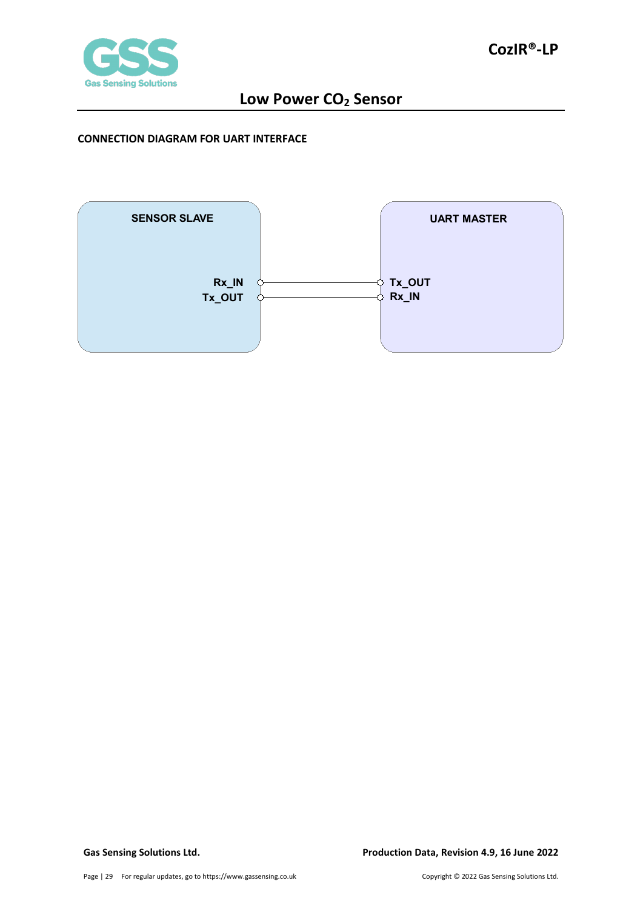

#### <span id="page-28-0"></span>**CONNECTION DIAGRAM FOR UART INTERFACE**